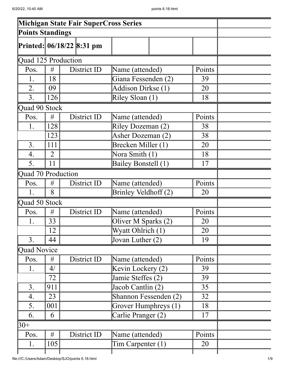|                         |                |                           | <b>Michigan State Fair SuperCross Series</b> |        |  |
|-------------------------|----------------|---------------------------|----------------------------------------------|--------|--|
| <b>Points Standings</b> |                |                           |                                              |        |  |
|                         |                | Printed: 06/18/22 8:31 pm |                                              |        |  |
| Quad 125 Production     |                |                           |                                              |        |  |
| Pos.                    | #              | District ID               | Name (attended)                              | Points |  |
| 1.                      | 18             |                           | Giana Fessenden (2)                          | 39     |  |
| 2.                      | 09             |                           | Addison Dirkse (1)                           | 20     |  |
| 3.                      | 126            |                           | Riley Sloan (1)                              | 18     |  |
| Quad 90 Stock           |                |                           |                                              |        |  |
| Pos.                    | #              | District ID               | Name (attended)                              | Points |  |
| 1.                      | 128            |                           | Riley Dozeman (2)                            | 38     |  |
|                         | 123            |                           | Asher Dozeman (2)                            | 38     |  |
| 3.                      | 111            |                           | Brecken Miller (1)                           | 20     |  |
| 4.                      | $\overline{2}$ |                           | Nora Smith (1)                               | 18     |  |
| 5.                      | 11             |                           | Bailey Bonstell (1)                          | 17     |  |
| Quad 70 Production      |                |                           |                                              |        |  |
| Pos.                    | #              | District ID               | Name (attended)                              | Points |  |
| 1.                      | 8              |                           | Brinley Veldhoff (2)                         | 20     |  |
| Quad 50 Stock           |                |                           |                                              |        |  |
| Pos.                    | #              | District ID               | Name (attended)                              | Points |  |
| 1.                      | 33             |                           | Oliver M Sparks (2)                          | 20     |  |
|                         | 12             |                           | Wyatt Ohlrich (1)                            | 20     |  |
| 3.                      | 44             |                           | Jovan Luther (2)                             | 19     |  |
| Quad Novice             |                |                           |                                              |        |  |
| Pos.                    | #              | District ID               | Name (attended)                              | Points |  |
| 1.                      | 4/             |                           | Kevin Lockery (2)                            | 39     |  |
|                         | 72             |                           | Jamie Steffes (2)                            | 39     |  |
| 3.                      | 911            |                           | Jacob Cantlin (2)                            | 35     |  |
| 4.                      | 23             |                           | Shannon Fessenden (2)                        | 32     |  |
| 5.                      | 001            |                           | Grover Humphreys (1)                         | 18     |  |
| 6.                      | 6              |                           | Carlie Pranger (2)                           | 17     |  |
| $30+$                   |                |                           |                                              |        |  |
| Pos.                    | #              | District ID               | Name (attended)                              | Points |  |
| 1.                      | 105            |                           | Tim Carpenter $(1)$                          | 20     |  |
|                         |                |                           |                                              |        |  |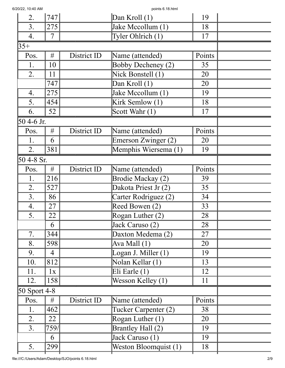| 2.           | 747            |             | $Dan$ Kroll $(1)$     | 19     |  |
|--------------|----------------|-------------|-----------------------|--------|--|
| 3.           | 275            |             | Jake Mccollum (1)     | 18     |  |
| 4.           | 7              |             | Tyler Ohlrich (1)     | 17     |  |
| $35+$        |                |             |                       |        |  |
| Pos.         | #              | District ID | Name (attended)       | Points |  |
| 1.           | 10             |             | Bobby Decheney (2)    | 35     |  |
| 2.           | 11             |             | Nick Bonstell (1)     | 20     |  |
|              | 747            |             | Dan Kroll (1)         | 20     |  |
| 4.           | 275            |             | Jake Mccollum (1)     | 19     |  |
| 5.           | 454            |             | Kirk Semlow (1)       | 18     |  |
| 6.           | 52             |             | Scott Wahr (1)        | 17     |  |
| 50 4-6 Jr.   |                |             |                       |        |  |
| Pos.         | #              | District ID | Name (attended)       | Points |  |
| 1.           | 6              |             | Emerson Zwinger (2)   | 20     |  |
| 2.           | 381            |             | Memphis Wiersema (1)  | 19     |  |
| 50 4-8 Sr.   |                |             |                       |        |  |
| Pos.         | #              | District ID | Name (attended)       | Points |  |
| 1.           | 216            |             | Brodie Mackay (2)     | 39     |  |
| 2.           | 527            |             | Dakota Priest Jr (2)  | 35     |  |
| 3.           | 86             |             | Carter Rodriguez (2)  | 34     |  |
| 4.           | 27             |             | Reed Bowen (2)        | 33     |  |
| 5.           | 22             |             | Rogan Luther $(2)$    | 28     |  |
|              | 6              |             | Jack Caruso (2)       | 28     |  |
| 7.           | 344            |             | Daxton Medema (2)     | 27     |  |
| 8.           | 598            |             | Ava Mall $(1)$        | 20     |  |
| 9.           | $\overline{4}$ |             | Logan J. Miller $(1)$ | 19     |  |
| 10.          | 812            |             | Nolan Kellar (1)      | 13     |  |
| 11.          | 1x             |             | Eli Earle $(1)$       | 12     |  |
| 12.          | 158            |             | Wesson Kelley (1)     | 11     |  |
| 50 Sport 4-8 |                |             |                       |        |  |
| Pos.         | #              | District ID | Name (attended)       | Points |  |
| 1.           | 462            |             | Tucker Carpenter (2)  | 38     |  |
| 2.           | 22             |             | Rogan Luther $(1)$    | 20     |  |
| 3.           | 759/           |             | Brantley Hall (2)     | 19     |  |
|              | 6              |             | Jack Caruso (1)       | 19     |  |
| 5.           | 299            |             | Weston Bloomquist (1) | 18     |  |
|              |                |             |                       |        |  |

6/20/22, 10:40 AM points 6.18.html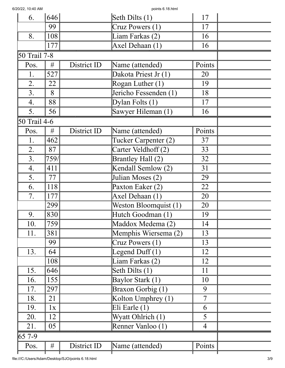| 6.           | 646  |             | Seth Dilts (1)               | 17             |  |
|--------------|------|-------------|------------------------------|----------------|--|
|              | 99   |             | Cruz Powers (1)              | 17             |  |
| 8.           | 108  |             | Liam Farkas (2)              | 16             |  |
|              | 177  |             | Axel Dehaan (1)              | 16             |  |
| 50 Trail 7-8 |      |             |                              |                |  |
| Pos.         | #    | District ID | Name (attended)              | Points         |  |
| 1.           | 527  |             | Dakota Priest Jr (1)         | 20             |  |
| 2.           | 22   |             | Rogan Luther $(1)$           | 19             |  |
| 3.           | 8    |             | Jericho Fessenden (1)        | 18             |  |
| 4.           | 88   |             | $\overline{D$ ylan Folts (1) | 17             |  |
| 5.           | 56   |             | Sawyer Hileman (1)           | 16             |  |
| 50 Trail 4-6 |      |             |                              |                |  |
| Pos.         | #    | District ID | Name (attended)              | Points         |  |
| 1.           | 462  |             | Tucker Carpenter (2)         | 37             |  |
| 2.           | 87   |             | Carter Veldhoff (2)          | 33             |  |
| 3.           | 759/ |             | Brantley Hall (2)            | 32             |  |
| 4.           | 411  |             | Kendall Semlow (2)           | 31             |  |
| 5.           | 77   |             | Julian Moses (2)             | 29             |  |
| 6.           | 118  |             | Paxton Eaker (2)             | 22             |  |
| 7.           | 177  |             | Axel Dehaan (1)              | 20             |  |
|              | 299  |             | Weston Bloomquist (1)        | 20             |  |
| 9.           | 830  |             | Hutch Goodman (1)            | 19             |  |
| 10.          | 759  |             | Maddox Medema (2)            | 14             |  |
| 11.          | 381  |             | Memphis Wiersema (2)         | 13             |  |
|              | 99   |             | Cruz Powers (1)              | 13             |  |
| 13.          | 64   |             | Legend Duff $(1)$            | 12             |  |
|              | 108  |             | Liam Farkas (2)              | 12             |  |
| 15.          | 646  |             | Seth Dilts (1)               | 11             |  |
| 16.          | 155  |             | Baylor Stark (1)             | 10             |  |
| 17.          | 297  |             | Braxon Gorbig (1)            | 9              |  |
| 18.          | 21   |             | Kolton Umphrey (1)           | $\overline{7}$ |  |
| 19.          | 1x   |             | Eli Earle (1)                | 6              |  |
| 20.          | 12   |             | Wyatt Ohlrich (1)            | 5              |  |
| 21.          | 05   |             | Renner Vanloo (1)            | 4              |  |
| $ 65 7-9$    |      |             |                              |                |  |
| Pos.         | #    | District ID | Name (attended)              | Points         |  |
|              |      |             |                              |                |  |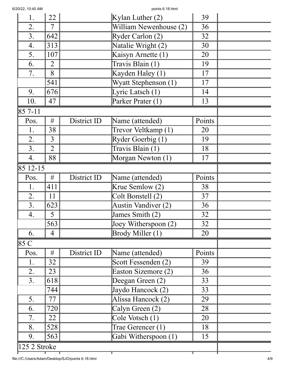| 1.                       | 22             |             | Kylan Luther $(2)$     | 39     |  |
|--------------------------|----------------|-------------|------------------------|--------|--|
| 2.                       | $\tau$         |             | William Newenhouse (2) | 36     |  |
| 3.                       | 642            |             | Ryder Carlon (2)       | 32     |  |
| 4.                       | 313            |             | Natalie Wright (2)     | 30     |  |
| 5.                       | 107            |             | Kaisyn Arnette (1)     | 20     |  |
| 6.                       | $\overline{2}$ |             | Travis Blain (1)       | 19     |  |
| 7.                       | 8              |             | Kayden Haley (1)       | 17     |  |
|                          | 541            |             | Wyatt Stephenson (1)   | 17     |  |
| 9.                       | 676            |             | Lyric Latsch (1)       | 14     |  |
| 10.                      | 47             |             | Parker Prater (1)      | 13     |  |
| 85 7-11                  |                |             |                        |        |  |
| Pos.                     | $\#$           | District ID | Name (attended)        | Points |  |
| 1.                       | 38             |             | Trevor Veltkamp (1)    | 20     |  |
| 2.                       | $\overline{3}$ |             | Ryder Goerbig (1)      | 19     |  |
| 3.                       | $\overline{2}$ |             | Travis Blain (1)       | 18     |  |
| 4.                       | 88             |             | Morgan Newton (1)      | 17     |  |
| 85 12 - 15               |                |             |                        |        |  |
| Pos.                     | #              | District ID | Name (attended)        | Points |  |
| 1.                       | 411            |             | Krue Semlow (2)        | 38     |  |
| 2.                       | 11             |             | Colt Bonstell (2)      | 37     |  |
| 3.                       | 623            |             | Austin Vandiver (2)    | 36     |  |
| 4.                       | 5              |             | James Smith (2)        | 32     |  |
|                          | 563            |             | Joey Witherspoon $(2)$ | 32     |  |
| 6.                       | 4              |             | Brody Miller (1)       | 20     |  |
| 85 C                     |                |             |                        |        |  |
| Pos.                     | #              | District ID | Name (attended)        | Points |  |
| 1.                       | 32             |             | Scott Fessenden (2)    | 39     |  |
| 2.                       | 23             |             | Easton Sizemore (2)    | 36     |  |
| 3.                       | 618            |             | Deegan Green (2)       | 33     |  |
|                          | 744            |             | Jaydo Hancock (2)      | 33     |  |
| 5.                       | 77             |             | Alissa Hancock (2)     | 29     |  |
| 6.                       | 720            |             | Calyn Green (2)        | 28     |  |
| 7.                       | 22             |             | Cole Votsch (1)        | 20     |  |
| 8.                       | 528            |             | Trae Gerencer (1)      | 18     |  |
| 9.                       | 563            |             | Gabi Witherspoon (1)   | 15     |  |
| $ 125 2 \text{ Stroke} $ |                |             |                        |        |  |

т

T

┱

T

Τ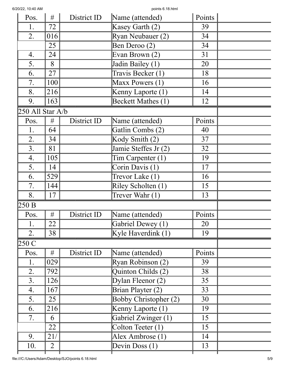| Pos.             | #              | District ID | Name (attended)              | Points |  |
|------------------|----------------|-------------|------------------------------|--------|--|
| 1.               | 72             |             | Kasey Garth (2)              | 39     |  |
| 2.               | 016            |             | Ryan Neubauer (2)            | 34     |  |
|                  | 25             |             | Ben Deroo (2)                | 34     |  |
| 4.               | 24             |             | Evan Brown (2)               | 31     |  |
| 5.               | 8              |             | Jadin Bailey (1)             | 20     |  |
| 6.               | 27             |             | Travis Becker (1)            | 18     |  |
| 7.               | 100            |             | Maxx Powers (1)              | 16     |  |
| 8.               | 216            |             | Kenny Laporte (1)            | 14     |  |
| 9.               | 163            |             | Beckett Mathes (1)           | 12     |  |
| 250 All Star A/b |                |             |                              |        |  |
| Pos.             | #              | District ID | Name (attended)              | Points |  |
| 1.               | 64             |             | Gatlin Combs (2)             | 40     |  |
| 2.               | 34             |             | Kody Smith (2)               | 37     |  |
| 3.               | 81             |             | Jamie Steffes Jr (2)         | 32     |  |
| 4.               | 105            |             | $Tim$ Carpenter $(1)$        | 19     |  |
| 5.               | 14             |             | Corin Davis (1)              | 17     |  |
| 6.               | 529            |             | Trevor Lake (1)              | 16     |  |
| 7.               | 144            |             | Riley Scholten (1)           | 15     |  |
| 8.               | 17             |             | Trever Wahr (1)              | 13     |  |
| 250 B            |                |             |                              |        |  |
| Pos.             | #              | District ID | Name (attended)              | Points |  |
| 1.               | 22             |             | Gabriel Dewey (1)            | 20     |  |
| 2.               | 38             |             | Kyle Haverdink $(1)$         | 19     |  |
| 250 C            |                |             |                              |        |  |
| Pos.             | #              | District ID | Name (attended)              | Points |  |
| 1.               | 029            |             | Ryan Robinson (2)            | 39     |  |
| 2.               | 792            |             | Quinton Childs (2)           | 38     |  |
| 3.               | 126            |             | Dylan Fleenor $(2)$          | 35     |  |
| 4.               | 167            |             | Brian Playter (2)            | 33     |  |
| 5.               | 25             |             | <b>Bobby Christopher (2)</b> | 30     |  |
| 6.               | 216            |             | Kenny Laporte (1)            | 19     |  |
| 7.               | 6              |             | Gabriel Zwinger (1)          | 15     |  |
|                  | 22             |             | Colton Teeter (1)            | 15     |  |
| 9.               | 21/            |             | Alex Ambrose (1)             | 14     |  |
| 10.              | $\overline{2}$ |             | Devin Doss (1)               | 13     |  |
|                  |                |             |                              |        |  |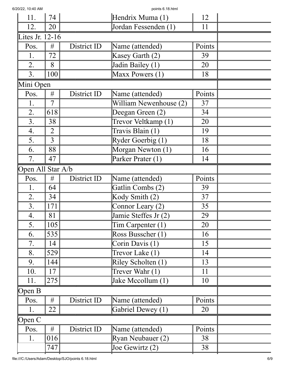| 6/20/22, 10:40 AM |                 |             | points 6.18.html                    |        |  |
|-------------------|-----------------|-------------|-------------------------------------|--------|--|
| 11.               | 74              |             | Hendrix Muma (1)                    | 12     |  |
| 12.               | 20              |             | Jordan Fessenden (1)                | 11     |  |
| Lites Jr. 12-16   |                 |             |                                     |        |  |
| Pos.              | #               | District ID | Name (attended)                     | Points |  |
| 1.                | 72              |             | Kasey Garth (2)                     | 39     |  |
| 2.                | 8               |             | Jadin Bailey (1)                    | 20     |  |
| 3.                | 100             |             | Maxx Powers (1)                     | 18     |  |
| Mini Open         |                 |             |                                     |        |  |
| Pos.              | #               | District ID | Name (attended)                     | Points |  |
| 1.                | $\overline{7}$  |             | William Newenhouse (2)              | 37     |  |
| 2.                | 618             |             | Deegan Green (2)                    | 34     |  |
| 3.                | 38              |             | Trevor Veltkamp (1)                 | 20     |  |
| 4.                | $\overline{2}$  |             | Travis Blain (1)                    | 19     |  |
| 5.                | $\overline{3}$  |             | Ryder Goerbig (1)                   | 18     |  |
| 6.                | 88              |             | Morgan Newton (1)                   | 16     |  |
| 7.                | 47              |             | Parker Prater (1)                   | 14     |  |
| Open All Star A/b |                 |             |                                     |        |  |
| Pos.              | #               | District ID | Name (attended)                     | Points |  |
| 1.                | 64              |             | Gatlin Combs (2)                    | 39     |  |
| 2.                | 34              |             | Kody Smith (2)                      | 37     |  |
| 3.                | 171             |             | Connor Leary (2)                    | 35     |  |
| 4.                | $\overline{81}$ |             | Jamie Steffes Jr (2)                | 29     |  |
| 5.                | 105             |             | $Tim$ Carpenter $(1)$               | 20     |  |
| 6.                | 535             |             | Ross Busscher (1)                   | 16     |  |
| 7.                | 14              |             | Corin Davis (1)                     | 15     |  |
| 8.                | 529             |             | Trevor Lake (1)                     | 14     |  |
| 9.                | 144             |             | Riley Scholten (1)                  | 13     |  |
| 10.               | 17              |             | Trever Wahr (1)                     | 11     |  |
| 11.               | 275             |             | Jake Mccollum (1)                   | 10     |  |
| Open B            |                 |             |                                     |        |  |
| Pos.              | #               | District ID | Name (attended)                     | Points |  |
| 1.                | 22              |             | Gabriel Dewey (1)                   | 20     |  |
| Open C            |                 |             |                                     |        |  |
| Pos.              | #               | District ID | Name (attended)                     | Points |  |
| 1.                | 016             |             | Ryan Neubauer (2)                   | 38     |  |
|                   | 747             |             | $\overline{\text{Joe}}$ Gewirtz (2) | 38     |  |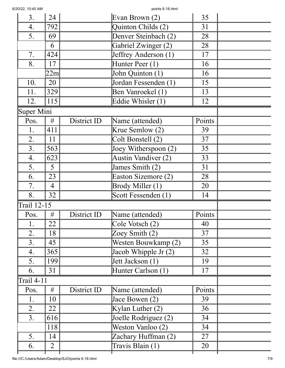| 3.                | 24             |             | Evan Brown $(2)$                      | 35     |  |
|-------------------|----------------|-------------|---------------------------------------|--------|--|
| 4.                | 792            |             | Quinton Childs (2)                    | 31     |  |
| 5.                | 69             |             | Denver Steinbach (2)                  | 28     |  |
|                   | 6              |             | Gabriel Zwinger (2)                   | 28     |  |
| 7.                | 424            |             | Jeffrey Anderson (1)                  | 17     |  |
| 8.                | 17             |             | Hunter Peer (1)                       | 16     |  |
|                   | 22m            |             | $\overline{\text{John} }$ Quinton (1) | 16     |  |
| 10.               | 20             |             | Jordan Fessenden (1)                  | 15     |  |
| 11.               | 329            |             | Ben Vanroekel (1)                     | 13     |  |
| 12.               | 115            |             | Eddie Whisler (1)                     | 12     |  |
| Super Mini        |                |             |                                       |        |  |
| Pos.              | #              | District ID | Name (attended)                       | Points |  |
| 1.                | 411            |             | Krue Semlow (2)                       | 39     |  |
| 2.                | 11             |             | Colt Bonstell (2)                     | 37     |  |
| 3.                | 563            |             | Joey Witherspoon $(2)$                | 35     |  |
| 4.                | 623            |             | <b>Austin Vandiver (2)</b>            | 33     |  |
| 5.                | 5              |             | James Smith (2)                       | 31     |  |
| 6.                | 23             |             | Easton Sizemore (2)                   | 28     |  |
| 7.                | 4              |             | Brody Miller (1)                      | 20     |  |
| 8.                | 32             |             | Scott Fessenden (1)                   | 14     |  |
| Trail 12-15       |                |             |                                       |        |  |
| Pos.              | #              | District ID | Name (attended)                       | Points |  |
| 1.                | 22             |             | Cole Votsch (2)                       | 40     |  |
| 2.                | 18             |             | Zoey Smith (2)                        | 37     |  |
| 3.                | 45             |             | Westen Bouwkamp (2)                   | 35     |  |
| 4.                | 365            |             | Jacob Whipple Jr (2)                  | 32     |  |
| 5.                | 199            |             | Jett Jackson (1)                      | 19     |  |
| 6.                | 31             |             | Hunter Carlson (1)                    | 17     |  |
| <b>Trail 4-11</b> |                |             |                                       |        |  |
| Pos.              | #              | District ID | Name (attended)                       | Points |  |
| 1.                | 10             |             | Jace Bowen (2)                        | 39     |  |
| 2.                | 22             |             | Kylan Luther $(2)$                    | 36     |  |
| 3.                | 616            |             | Joelle Rodriguez (2)                  | 34     |  |
|                   | 118            |             | Weston Vanloo (2)                     | 34     |  |
| 5.                | 14             |             | Zachary Huffman (2)                   | 27     |  |
| 6.                | $\overline{2}$ |             | Travis Blain (1)                      | 20     |  |
|                   |                |             |                                       |        |  |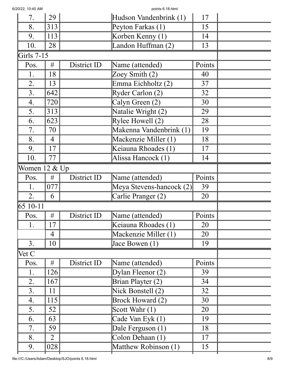| 6/20/22, 10:40 AM |  |
|-------------------|--|
|                   |  |

points 6.18 html

| 20122, TU.40 AIVI |                |             |                          |        |  |
|-------------------|----------------|-------------|--------------------------|--------|--|
| 7.                | 29             |             | Hudson Vandenbrink (1)   | 17     |  |
| 8.                | 313            |             | Peyton Farkas (1)        | 15     |  |
| 9.                | 113            |             | Korben Kenny (1)         | 14     |  |
| 10.               | 28             |             | Landon Huffman (2)       | 13     |  |
| Girls $7-15$      |                |             |                          |        |  |
| Pos.              | #              | District ID | Name (attended)          | Points |  |
| 1.                | 18             |             | Zoey Smith (2)           | 40     |  |
| 2.                | 13             |             | Emma Eichholtz (2)       | 37     |  |
| 3.                | 642            |             | Ryder Carlon (2)         | 32     |  |
| 4.                | 720            |             | Calyn Green (2)          | 30     |  |
| 5.                | 313            |             | Natalie Wright (2)       | 29     |  |
| 6.                | 623            |             | Rylee Howell $(2)$       | 28     |  |
| 7.                | 70             |             | Makenna Vandenbrink (1)  | 19     |  |
| 8.                | 4              |             | Mackenzie Miller (1)     | 18     |  |
| 9.                | 17             |             | Keiauna Rhoades (1)      | 17     |  |
| 10.               | 77             |             | Alissa Hancock (1)       | 14     |  |
| Women 12 & Up     |                |             |                          |        |  |
| Pos.              | #              | District ID | Name (attended)          | Points |  |
| 1.                | 077            |             | Meya Stevens-hancock (2) | 39     |  |
| 2.                | 6              |             | Carlie Pranger (2)       | 20     |  |
| 65 10-11          |                |             |                          |        |  |
| Pos.              | #              | District ID | Name (attended)          | Points |  |
| 1.                | 17             |             | Keiauna Rhoades (1)      | 20     |  |
|                   | $\overline{4}$ |             | Mackenzie Miller (1)     | 20     |  |
| 3.                | 10             |             | Jace Bowen (1)           | 19     |  |
| Vet C             |                |             |                          |        |  |
| Pos.              | #              | District ID | Name (attended)          | Points |  |
| 1.                | 126            |             | Dylan Fleenor $(2)$      | 39     |  |
| 2.                | 167            |             | Brian Playter (2)        | 34     |  |
| 3.                | 11             |             | Nick Bonstell (2)        | 32     |  |
| 4.                | 115            |             | <b>Brock Howard (2)</b>  | 30     |  |
| 5.                | 52             |             | Scott Wahr (1)           | 20     |  |
| 6.                | 63             |             | Cade Van Eyk (1)         | 19     |  |
| 7.                | 59             |             | Dale Ferguson (1)        | 18     |  |
| 8.                | $\overline{2}$ |             | Colon Dehaan (1)         | 17     |  |
| 9.                | 028            |             | Matthew Robinson (1)     | 15     |  |
|                   |                |             |                          |        |  |